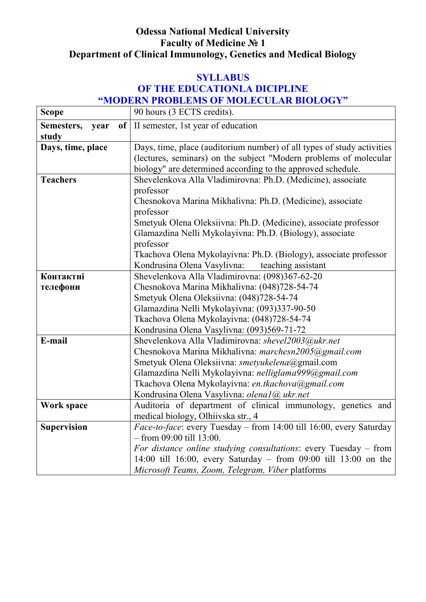# **Odessa National Medical University Faculty of Medicine № 1 Department of Clinical Immunology, Genetics and Medical Biology**

## **SYLLABUS OF THE EDUCATIONLA DICIPLINE "MODERN PROBLEMS OF MOLECULAR BIOLOGY"**

| <b>Scope</b>             | 90 hours (3 ECTS credits).                                             |
|--------------------------|------------------------------------------------------------------------|
| Semesters,<br>of<br>year | II semester, 1st year of education                                     |
| study                    |                                                                        |
| Days, time, place        | Days, time, place (auditorium number) of all types of study activities |
|                          | (lectures, seminars) on the subject "Modern problems of molecular      |
|                          | biology" are determined according to the approved schedule.            |
| <b>Teachers</b>          | Shevelenkova Alla Vladimirovna: Ph.D. (Medicine), associate            |
|                          | professor                                                              |
|                          | Chesnokova Marina Mikhalivna: Ph.D. (Medicine), associate              |
|                          | professor                                                              |
|                          | Smetyuk Olena Oleksiivna: Ph.D. (Medicine), associate professor        |
|                          | Glamazdina Nelli Mykolayivna: Ph.D. (Biology), associate               |
|                          | professor                                                              |
|                          | Tkachova Olena Mykolayivna: Ph.D. (Biology), associate professor       |
|                          | Kondrusina Olena Vasylivna:<br>teaching assistant                      |
| Контактні                | Shevelenkova Alla Vladimirovna: (098)367-62-20                         |
| телефони                 | Chesnokova Marina Mikhalivna: (048)728-54-74                           |
|                          | Smetyuk Olena Oleksiivna: (048)728-54-74                               |
|                          | Glamazdina Nelli Mykolayivna: (093)337-90-50                           |
|                          | Tkachova Olena Mykolayivna: (048)728-54-74                             |
|                          | Kondrusina Olena Vasylivna: (093)569-71-72                             |
| E-mail                   | Shevelenkova Alla Vladimirovna: shevel2003@ukr.net                     |
|                          | Chesnokova Marina Mikhalivna: marchesn2005@gmail.com                   |
|                          | Smetyuk Olena Oleksiivna: smetyukelena@gmail.com                       |
|                          | Glamazdina Nelli Mykolayivna: nelliglama999@gmail.com                  |
|                          | Tkachova Olena Mykolayivna: en.tkachova@gmail.com                      |
|                          | Kondrusina Olena Vasylivna: olenal@ukr.net                             |
| Work space               | Auditoria of department of clinical immunology, genetics and           |
|                          | medical biology, Olhiivska str., 4                                     |
| <b>Supervision</b>       | Face-to-face: every Tuesday - from 14:00 till 16:00, every Saturday    |
|                          | $-$ from 09:00 till 13:00.                                             |
|                          | For distance online studying consultations: every Tuesday – from       |
|                          | 14:00 till 16:00, every Saturday - from 09:00 till 13:00 on the        |
|                          | Microsoft Teams, Zoom, Telegram, Viber platforms                       |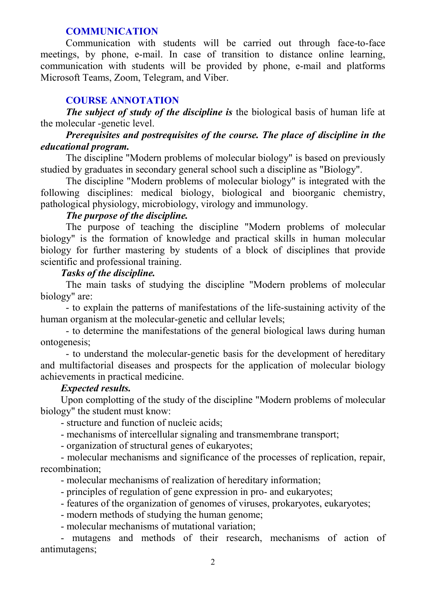#### **COMMUNICATION**

Communication with students will be carried out through face-to-face meetings, by phone, e-mail. In case of transition to distance online learning, communication with students will be provided by phone, e-mail and platforms Microsoft Teams, Zoom, Telegram, and Viber.

### **COURSE ANNOTATION**

*The subject of study of the discipline is* the biological basis of human life at the molecular -genetic level.

### *Prerequisites and postrequisites of the course. The place of discipline in the educational program.*

The discipline "Modern problems of molecular biology" is based on previously studied by graduates in secondary general school such a discipline as "Biology".

The discipline "Modern problems of molecular biology" is integrated with the following disciplines: medical biology, biological and bioorganic chemistry, pathological physiology, microbiology, virology and immunology.

## *The purpose of the discipline.*

The purpose of teaching the discipline "Modern problems of molecular biology" is the formation of knowledge and practical skills in human molecular biology for further mastering by students of a block of disciplines that provide scientific and professional training.

### *Tasks of the discipline.*

The main tasks of studying the discipline "Modern problems of molecular biology" are:

- to explain the patterns of manifestations of the life-sustaining activity of the human organism at the molecular-genetic and cellular levels;

- to determine the manifestations of the general biological laws during human ontogenesis;

- to understand the molecular-genetic basis for the development of hereditary and multifactorial diseases and prospects for the application of molecular biology achievements in practical medicine.

### *Expected results.*

Upon complotting of the study of the discipline "Modern problems of molecular biology" the student must know:

- structure and function of nucleic acids;

- mechanisms of intercellular signaling and transmembrane transport;

- organization of structural genes of eukaryotes;

- molecular mechanisms and significance of the processes of replication, repair, recombination;

- molecular mechanisms of realization of hereditary information;

- principles of regulation of gene expression in pro- and eukaryotes;

- features of the organization of genomes of viruses, prokaryotes, eukaryotes;
- modern methods of studying the human genome;
- molecular mechanisms of mutational variation;

- mutagens and methods of their research, mechanisms of action of antimutagens;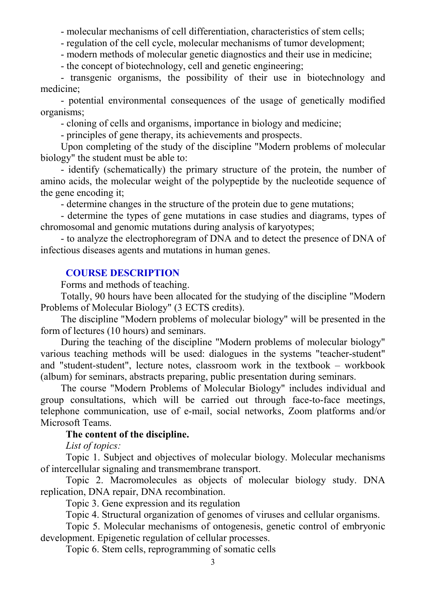- molecular mechanisms of cell differentiation, characteristics of stem cells;

- regulation of the cell cycle, molecular mechanisms of tumor development;

- modern methods of molecular genetic diagnostics and their use in medicine;

- the concept of biotechnology, cell and genetic engineering;

- transgenic organisms, the possibility of their use in biotechnology and medicine;

- potential environmental consequences of the usage of genetically modified organisms;

- cloning of cells and organisms, importance in biology and medicine;

- principles of gene therapy, its achievements and prospects.

Upon completing of the study of the discipline "Modern problems of molecular biology" the student must be able to:

- identify (schematically) the primary structure of the protein, the number of amino acids, the molecular weight of the polypeptide by the nucleotide sequence of the gene encoding it;

- determine changes in the structure of the protein due to gene mutations;

- determine the types of gene mutations in case studies and diagrams, types of chromosomal and genomic mutations during analysis of karyotypes;

- to analyze the electrophoregram of DNA and to detect the presence of DNA of infectious diseases agents and mutations in human genes.

#### **COURSE DESCRIPTION**

Forms and methods of teaching.

Totally, 90 hours have been allocated for the studying of the discipline "Modern Problems of Molecular Biology" (3 ECTS credits).

The discipline "Modern problems of molecular biology" will be presented in the form of lectures (10 hours) and seminars.

During the teaching of the discipline "Modern problems of molecular biology" various teaching methods will be used: dialogues in the systems "teacher-student" and "student-student", lecture notes, classroom work in the textbook – workbook (album) for seminars, abstracts preparing, public presentation during seminars.

The course "Modern Problems of Molecular Biology" includes individual and group consultations, which will be carried out through face-to-face meetings, telephone communication, use of e-mail, social networks, Zoom platforms and/or Microsoft Teams.

### **The content of the discipline.**

*List of topics:* 

Topic 1. Subject and objectives of molecular biology. Molecular mechanisms of intercellular signaling and transmembrane transport.

Topic 2. Macromolecules as objects of molecular biology study. DNA replication, DNA repair, DNA recombination.

Topic 3. Gene expression and its regulation

Topic 4. Structural organization of genomes of viruses and cellular organisms.

Topic 5. Molecular mechanisms of ontogenesis, genetic control of embryonic development. Epigenetic regulation of cellular processes.

Topic 6. Stem cells, reprogramming of somatic cells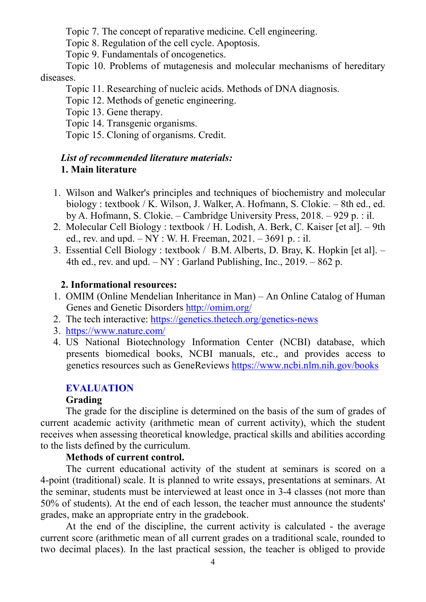Topic 7. The concept of reparative medicine. Cell engineering.

Topic 8. Regulation of the cell cycle. Apoptosis.

Topic 9. Fundamentals of oncogenetics.

Topic 10. Problems of mutagenesis and molecular mechanisms of hereditary diseases.

Topic 11. Researching of nucleic acids. Methods of DNA diagnosis.

Topic 12. Methods of genetic engineering.

Topic 13. Gene therapy.

Topic 14. Transgenic organisms.

Topic 15. Cloning of organisms. Credit.

## *List of recommended literature materials:* **1. Main literature**

- 1. Wilson and Walker's principles and techniques of biochemistry and molecular biology : textbook / K. Wilson, J. Walker, A. Hofmann, S. Clokie. – 8th ed., ed. by A. Hofmann, S. Clokie. – Cambridge University Press, 2018. – 929 p. : il.
- 2. Molecular Cell Biology : textbook / H. Lodish, A. Berk, C. Kaiser [et al]. 9th ed., rev. and upd.  $-NY : W$ . H. Freeman, 2021.  $-3691$  p. : il.
- 3. Essential Cell Biology : textbook / B.M. Alberts, D. Bray, K. Hopkin [et al]. 4th ed., rev. and upd.  $-NY:$  Garland Publishing, Inc., 2019. – 862 p.

# **2. Informational resources:**

- 1. OMIM (Online Mendelian Inheritance in Man) An Online Catalog of Human Genes and Genetic Disorders http://omim.org/
- 2. The tech interactive: https://genetics.thetech.org/genetics-news
- 3. https://www.nature.com/
- 4. US National Biotechnology Information Center (NCBI) database, which presents biomedical books, NCBI manuals, etc., and provides access to genetics resources such as GeneReviews https://www.ncbi.nlm.nih.gov/books

# **EVALUATION**

# **Grading**

The grade for the discipline is determined on the basis of the sum of grades of current academic activity (arithmetic mean of current activity), which the student receives when assessing theoretical knowledge, practical skills and abilities according to the lists defined by the curriculum.

## **Methods of current control.**

The current educational activity of the student at seminars is scored on a 4-point (traditional) scale. It is planned to write essays, presentations at seminars. At the seminar, students must be interviewed at least once in 3-4 classes (not more than 50% of students). At the end of each lesson, the teacher must announce the students' grades, make an appropriate entry in the gradebook.

At the end of the discipline, the current activity is calculated - the average current score (arithmetic mean of all current grades on a traditional scale, rounded to two decimal places). In the last practical session, the teacher is obliged to provide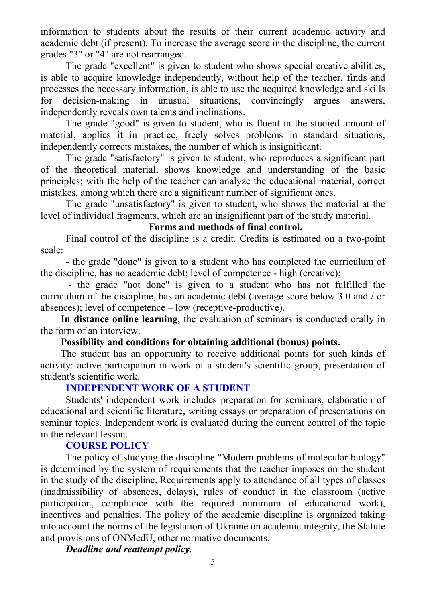information to students about the results of their current academic activity and academic debt (if present). To increase the average score in the discipline, the current grades "3" or "4" are not rearranged.

The grade "excellent" is given to student who shows special creative abilities, is able to acquire knowledge independently, without help of the teacher, finds and processes the necessary information, is able to use the acquired knowledge and skills for decision-making in unusual situations, convincingly argues answers, independently reveals own talents and inclinations.

The grade "good" is given to student, who is fluent in the studied amount of material, applies it in practice, freely solves problems in standard situations, independently corrects mistakes, the number of which is insignificant.

The grade "satisfactory" is given to student, who reproduces a significant part of the theoretical material, shows knowledge and understanding of the basic principles; with the help of the teacher can analyze the educational material, correct mistakes, among which there are a significant number of significant ones.

The grade "unsatisfactory" is given to student, who shows the material at the level of individual fragments, which are an insignificant part of the study material.

## **Forms and methods of final control.**

Final control of the discipline is a credit. Credits is estimated on a two-point scale:

- the grade "done" is given to a student who has completed the curriculum of the discipline, has no academic debt; level of competence - high (creative);

 - the grade "not done" is given to a student who has not fulfilled the curriculum of the discipline, has an academic debt (average score below 3.0 and / or absences); level of competence – low (receptive-productive).

**In distance online learning**, the evaluation of seminars is conducted orally in the form of an interview.

## **Possibility and conditions for obtaining additional (bonus) points.**

The student has an opportunity to receive additional points for such kinds of activity: active participation in work of a student's scientific group, presentation of student's scientific work.

## **INDEPENDENT WORK OF A STUDENT**

Students' independent work includes preparation for seminars, elaboration of educational and scientific literature, writing essays or preparation of presentations on seminar topics. Independent work is evaluated during the current control of the topic in the relevant lesson.

## **COURSE POLICY**

The policy of studying the discipline "Modern problems of molecular biology" is determined by the system of requirements that the teacher imposes on the student in the study of the discipline. Requirements apply to attendance of all types of classes (inadmissibility of absences, delays), rules of conduct in the classroom (active participation, compliance with the required minimum of educational work), incentives and penalties. The policy of the academic discipline is organized taking into account the norms of the legislation of Ukraine on academic integrity, the Statute and provisions of ONMedU, other normative documents.

*Deadline and reattempt policy.*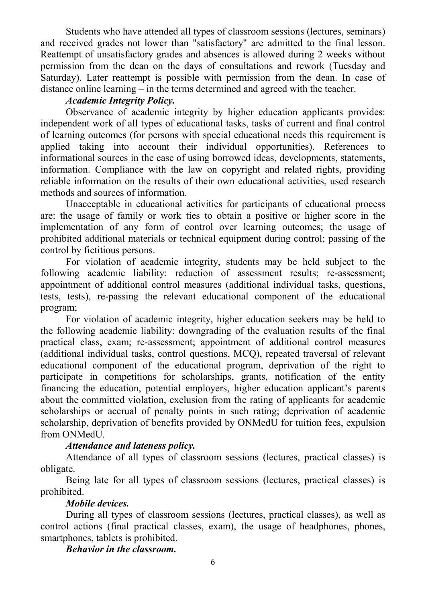Students who have attended all types of classroom sessions (lectures, seminars) and received grades not lower than "satisfactory" are admitted to the final lesson. Reattempt of unsatisfactory grades and absences is allowed during 2 weeks without permission from the dean on the days of consultations and rework (Tuesday and Saturday). Later reattempt is possible with permission from the dean. In case of distance online learning – in the terms determined and agreed with the teacher.

## *Academic Integrity Policy.*

Observance of academic integrity by higher education applicants provides: independent work of all types of educational tasks, tasks of current and final control of learning outcomes (for persons with special educational needs this requirement is applied taking into account their individual opportunities). References to informational sources in the case of using borrowed ideas, developments, statements, information. Compliance with the law on copyright and related rights, providing reliable information on the results of their own educational activities, used research methods and sources of information.

Unacceptable in educational activities for participants of educational process are: the usage of family or work ties to obtain a positive or higher score in the implementation of any form of control over learning outcomes; the usage of prohibited additional materials or technical equipment during control; passing of the control by fictitious persons.

For violation of academic integrity, students may be held subject to the following academic liability: reduction of assessment results; re-assessment; appointment of additional control measures (additional individual tasks, questions, tests, tests), re-passing the relevant educational component of the educational program;

For violation of academic integrity, higher education seekers may be held to the following academic liability: downgrading of the evaluation results of the final practical class, exam; re-assessment; appointment of additional control measures (additional individual tasks, control questions, MCQ), repeated traversal of relevant educational component of the educational program, deprivation of the right to participate in competitions for scholarships, grants, notification of the entity financing the education, potential employers, higher education applicant's parents about the committed violation, exclusion from the rating of applicants for academic scholarships or accrual of penalty points in such rating; deprivation of academic scholarship, deprivation of benefits provided by ONMedU for tuition fees, expulsion from ONMedU.

# *Attendance and lateness policy.*

Attendance of all types of classroom sessions (lectures, practical classes) is obligate.

Being late for all types of classroom sessions (lectures, practical classes) is prohibited.

## *Mobile devices.*

During all types of classroom sessions (lectures, practical classes), as well as control actions (final practical classes, exam), the usage of headphones, phones, smartphones, tablets is prohibited.

### *Behavior in the classroom.*